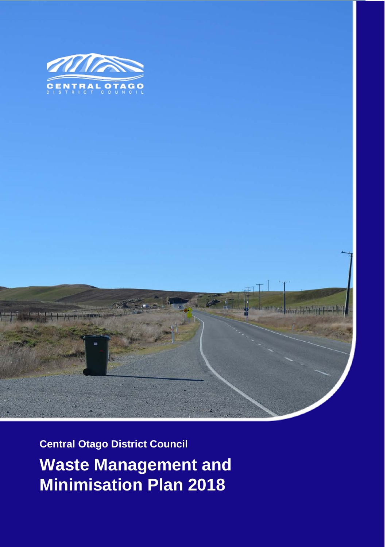



**Central Otago District Council Waste Management and Minimisation Plan 2018**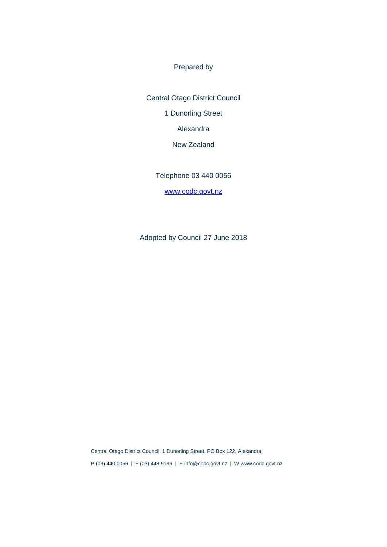Prepared by

Central Otago District Council 1 Dunorling Street Alexandra New Zealand

Telephone 03 440 0056

[www.codc.govt.nz](http://www.codc.govt.nz/)

Adopted by Council 27 June 2018

Central Otago District Council, 1 Dunorling Street, PO Box 122, Alexandra P (03) 440 0056 | F (03) 448 9196 | E info@codc.govt.nz | W www.codc.govt.nz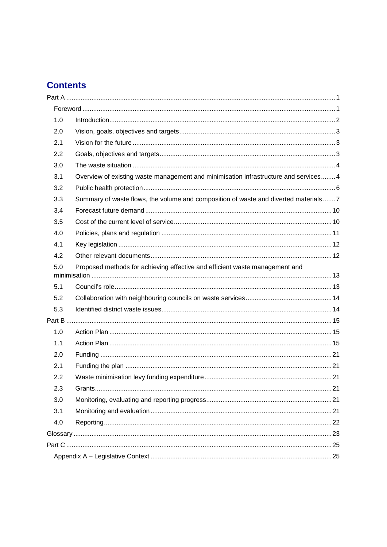## **Contents**

| 1.0 |                                                                                      |  |
|-----|--------------------------------------------------------------------------------------|--|
| 2.0 |                                                                                      |  |
| 2.1 |                                                                                      |  |
| 2.2 |                                                                                      |  |
| 3.0 |                                                                                      |  |
| 3.1 | Overview of existing waste management and minimisation infrastructure and services 4 |  |
| 3.2 |                                                                                      |  |
| 3.3 | Summary of waste flows, the volume and composition of waste and diverted materials 7 |  |
| 3.4 |                                                                                      |  |
| 3.5 |                                                                                      |  |
| 4.0 |                                                                                      |  |
| 4.1 |                                                                                      |  |
| 4.2 |                                                                                      |  |
| 5.0 | Proposed methods for achieving effective and efficient waste management and          |  |
| 5.1 |                                                                                      |  |
| 5.2 |                                                                                      |  |
| 5.3 |                                                                                      |  |
|     |                                                                                      |  |
| 1.0 |                                                                                      |  |
| 1.1 |                                                                                      |  |
| 2.0 |                                                                                      |  |
| 2.1 |                                                                                      |  |
| 2.2 |                                                                                      |  |
| 2.3 |                                                                                      |  |
| 3.0 |                                                                                      |  |
| 3.1 |                                                                                      |  |
| 4.0 |                                                                                      |  |
|     |                                                                                      |  |
|     |                                                                                      |  |
|     |                                                                                      |  |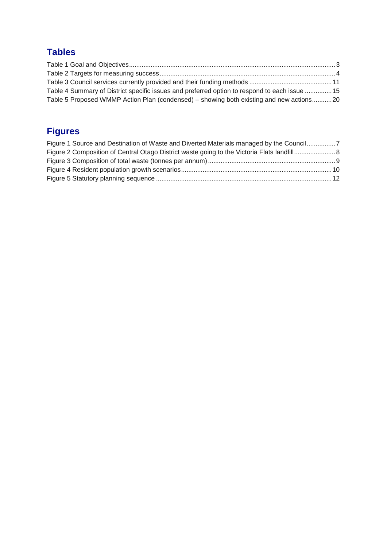## **Tables**

| Table 4 Summary of District specific issues and preferred option to respond to each issue  15 |  |
|-----------------------------------------------------------------------------------------------|--|
| Table 5 Proposed WMMP Action Plan (condensed) – showing both existing and new actions20       |  |

## **Figures**

| Figure 1 Source and Destination of Waste and Diverted Materials managed by the Council7 |  |
|-----------------------------------------------------------------------------------------|--|
|                                                                                         |  |
|                                                                                         |  |
|                                                                                         |  |
|                                                                                         |  |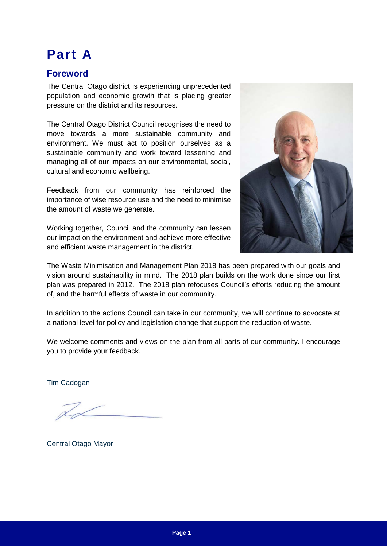# <span id="page-4-0"></span>**Part A**

## <span id="page-4-1"></span>**Foreword**

The Central Otago district is experiencing unprecedented population and economic growth that is placing greater pressure on the district and its resources.

The Central Otago District Council recognises the need to move towards a more sustainable community and environment. We must act to position ourselves as a sustainable community and work toward lessening and managing all of our impacts on our environmental, social, cultural and economic wellbeing.

Feedback from our community has reinforced the importance of wise resource use and the need to minimise the amount of waste we generate.

Working together, Council and the community can lessen our impact on the environment and achieve more effective and efficient waste management in the district.



The Waste Minimisation and Management Plan 2018 has been prepared with our goals and vision around sustainability in mind. The 2018 plan builds on the work done since our first plan was prepared in 2012. The 2018 plan refocuses Council's efforts reducing the amount of, and the harmful effects of waste in our community.

In addition to the actions Council can take in our community, we will continue to advocate at a national level for policy and legislation change that support the reduction of waste.

We welcome comments and views on the plan from all parts of our community. I encourage you to provide your feedback.

Tim Cadogan

Central Otago Mayor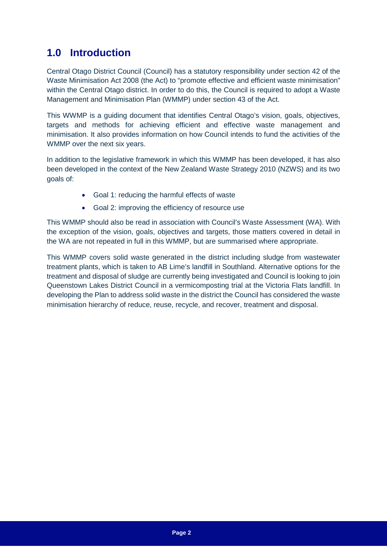## <span id="page-5-0"></span>**1.0 Introduction**

Central Otago District Council (Council) has a statutory responsibility under section 42 of the Waste Minimisation Act 2008 (the Act) to "promote effective and efficient waste minimisation" within the Central Otago district. In order to do this, the Council is required to adopt a Waste Management and Minimisation Plan (WMMP) under section 43 of the Act.

This WWMP is a guiding document that identifies Central Otago's vision, goals, objectives, targets and methods for achieving efficient and effective waste management and minimisation. It also provides information on how Council intends to fund the activities of the WMMP over the next six years.

In addition to the legislative framework in which this WMMP has been developed, it has also been developed in the context of the New Zealand Waste Strategy 2010 (NZWS) and its two goals of:

- Goal 1: reducing the harmful effects of waste
- Goal 2: improving the efficiency of resource use

This WMMP should also be read in association with Council's Waste Assessment (WA). With the exception of the vision, goals, objectives and targets, those matters covered in detail in the WA are not repeated in full in this WMMP, but are summarised where appropriate.

This WMMP covers solid waste generated in the district including sludge from wastewater treatment plants, which is taken to AB Lime's landfill in Southland. Alternative options for the treatment and disposal of sludge are currently being investigated and Council is looking to join Queenstown Lakes District Council in a vermicomposting trial at the Victoria Flats landfill. In developing the Plan to address solid waste in the district the Council has considered the waste minimisation hierarchy of reduce, reuse, recycle, and recover, treatment and disposal.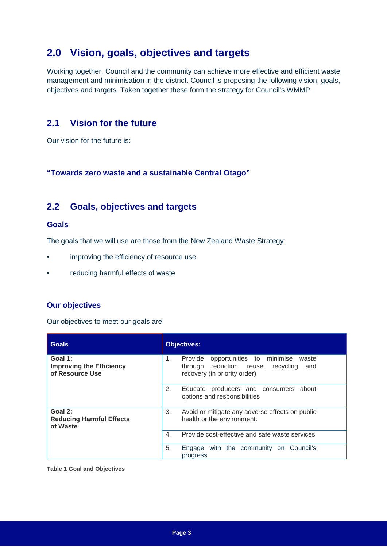## <span id="page-6-0"></span>**2.0 Vision, goals, objectives and targets**

Working together, Council and the community can achieve more effective and efficient waste management and minimisation in the district. Council is proposing the following vision, goals, objectives and targets. Taken together these form the strategy for Council's WMMP.

### <span id="page-6-1"></span>**2.1 Vision for the future**

Our vision for the future is:

**"Towards zero waste and a sustainable Central Otago"**

### <span id="page-6-2"></span>**2.2 Goals, objectives and targets**

#### **Goals**

The goals that we will use are those from the New Zealand Waste Strategy:

- improving the efficiency of resource use
- reducing harmful effects of waste

#### **Our objectives**

Our objectives to meet our goals are:

| <b>Goals</b>                                                  | <b>Objectives:</b>                                                                                                             |
|---------------------------------------------------------------|--------------------------------------------------------------------------------------------------------------------------------|
| Goal 1:<br><b>Improving the Efficiency</b><br>of Resource Use | Provide opportunities to minimise<br>1.<br>waste<br>through reduction, reuse, recycling<br>and<br>recovery (in priority order) |
|                                                               | 2.<br>Educate producers and consumers about<br>options and responsibilities                                                    |
| Goal 2:<br><b>Reducing Harmful Effects</b><br>of Waste        | 3.<br>Avoid or mitigate any adverse effects on public<br>health or the environment.                                            |
|                                                               | Provide cost-effective and safe waste services<br>$\mathbf{4}$ .                                                               |
|                                                               | 5.<br>Engage with the community on Council's<br>progress                                                                       |

<span id="page-6-3"></span>**Table 1 Goal and Objectives**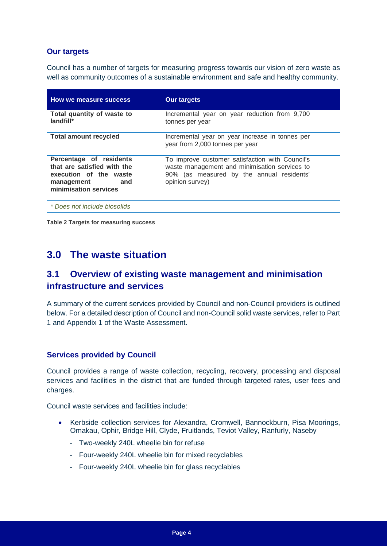#### **Our targets**

Council has a number of targets for measuring progress towards our vision of zero waste as well as community outcomes of a sustainable environment and safe and healthy community.

| How we measure success                                                                                                      | <b>Our targets</b>                                                                                                                                               |
|-----------------------------------------------------------------------------------------------------------------------------|------------------------------------------------------------------------------------------------------------------------------------------------------------------|
| Total quantity of waste to<br>landfill*                                                                                     | Incremental year on year reduction from 9,700<br>tonnes per year                                                                                                 |
| <b>Total amount recycled</b>                                                                                                | Incremental year on year increase in tonnes per<br>year from 2,000 tonnes per year                                                                               |
| Percentage of residents<br>that are satisfied with the<br>execution of the waste<br>management and<br>minimisation services | To improve customer satisfaction with Council's<br>waste management and minimisation services to<br>90% (as measured by the annual residents'<br>opinion survey) |
| * Does not include biosolids                                                                                                |                                                                                                                                                                  |

<span id="page-7-2"></span>**Table 2 Targets for measuring success**

## <span id="page-7-0"></span>**3.0 The waste situation**

## <span id="page-7-1"></span>**3.1 Overview of existing waste management and minimisation infrastructure and services**

A summary of the current services provided by Council and non-Council providers is outlined below. For a detailed description of Council and non-Council solid waste services, refer to Part 1 and Appendix 1 of the Waste Assessment.

#### **Services provided by Council**

Council provides a range of waste collection, recycling, recovery, processing and disposal services and facilities in the district that are funded through targeted rates, user fees and charges.

Council waste services and facilities include:

- Kerbside collection services for Alexandra, Cromwell, Bannockburn, Pisa Moorings, Omakau, Ophir, Bridge Hill, Clyde, Fruitlands, Teviot Valley, Ranfurly, Naseby
	- Two-weekly 240L wheelie bin for refuse
	- Four-weekly 240L wheelie bin for mixed recyclables
	- Four-weekly 240L wheelie bin for glass recyclables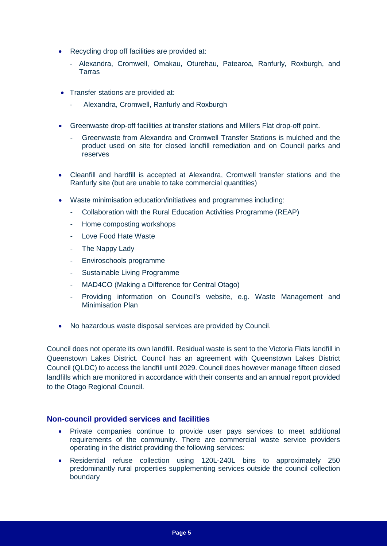- Recycling drop off facilities are provided at:
	- Alexandra, Cromwell, Omakau, Oturehau, Patearoa, Ranfurly, Roxburgh, and Tarras
- Transfer stations are provided at:
	- Alexandra, Cromwell, Ranfurly and Roxburgh
- Greenwaste drop-off facilities at transfer stations and Millers Flat drop-off point.
	- Greenwaste from Alexandra and Cromwell Transfer Stations is mulched and the product used on site for closed landfill remediation and on Council parks and reserves
- Cleanfill and hardfill is accepted at Alexandra, Cromwell transfer stations and the Ranfurly site (but are unable to take commercial quantities)
- Waste minimisation education/initiatives and programmes including:
	- Collaboration with the Rural Education Activities Programme (REAP)
	- Home composting workshops
	- Love Food Hate Waste
	- The Nappy Lady
	- Enviroschools programme
	- Sustainable Living Programme
	- MAD4CO (Making a Difference for Central Otago)
	- Providing information on Council's website, e.g. Waste Management and Minimisation Plan
- No hazardous waste disposal services are provided by Council.

Council does not operate its own landfill. Residual waste is sent to the Victoria Flats landfill in Queenstown Lakes District. Council has an agreement with Queenstown Lakes District Council (QLDC) to access the landfill until 2029. Council does however manage fifteen closed landfills which are monitored in accordance with their consents and an annual report provided to the Otago Regional Council.

#### **Non-council provided services and facilities**

- Private companies continue to provide user pays services to meet additional requirements of the community. There are commercial waste service providers operating in the district providing the following services:
- Residential refuse collection using 120L-240L bins to approximately 250 predominantly rural properties supplementing services outside the council collection boundary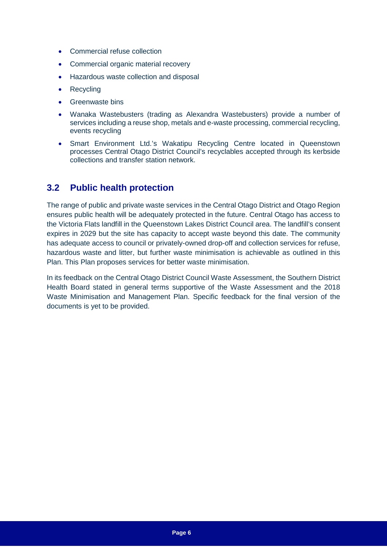- Commercial refuse collection
- Commercial organic material recovery
- Hazardous waste collection and disposal
- **Recycling**
- Greenwaste bins
- Wanaka Wastebusters (trading as Alexandra Wastebusters) provide a number of services including a reuse shop, metals and e-waste processing, commercial recycling, events recycling
- Smart Environment Ltd.'s Wakatipu Recycling Centre located in Queenstown processes Central Otago District Council's recyclables accepted through its kerbside collections and transfer station network.

### <span id="page-9-0"></span>**3.2 Public health protection**

The range of public and private waste services in the Central Otago District and Otago Region ensures public health will be adequately protected in the future. Central Otago has access to the Victoria Flats landfill in the Queenstown Lakes District Council area. The landfill's consent expires in 2029 but the site has capacity to accept waste beyond this date. The community has adequate access to council or privately-owned drop-off and collection services for refuse, hazardous waste and litter, but further waste minimisation is achievable as outlined in this Plan. This Plan proposes services for better waste minimisation.

In its feedback on the Central Otago District Council Waste Assessment, the Southern District Health Board stated in general terms supportive of the Waste Assessment and the 2018 Waste Minimisation and Management Plan. Specific feedback for the final version of the documents is yet to be provided.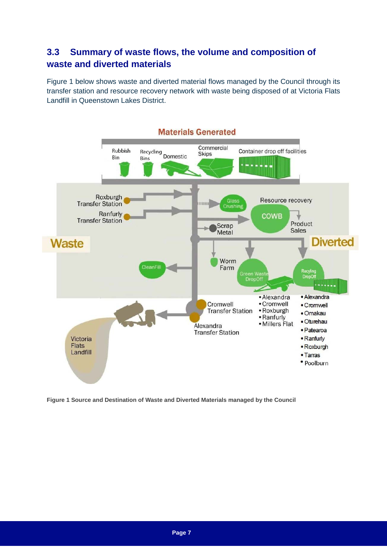## <span id="page-10-0"></span>**3.3 Summary of waste flows, the volume and composition of waste and diverted materials**

Figure 1 below shows waste and diverted material flows managed by the Council through its transfer station and resource recovery network with waste being disposed of at Victoria Flats Landfill in Queenstown Lakes District.



<span id="page-10-1"></span>**Figure 1 Source and Destination of Waste and Diverted Materials managed by the Council**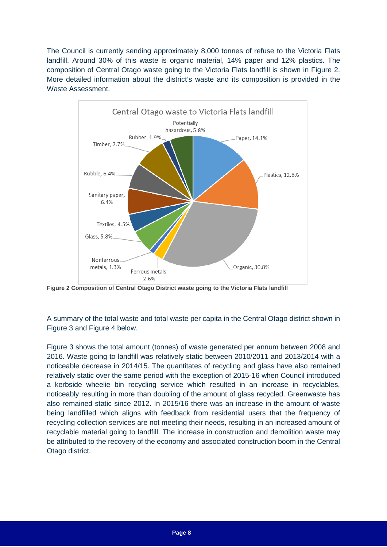The Council is currently sending approximately 8,000 tonnes of refuse to the Victoria Flats landfill. Around 30% of this waste is organic material, 14% paper and 12% plastics. The composition of Central Otago waste going to the Victoria Flats landfill is shown in Figure 2. More detailed information about the district's waste and its composition is provided in the Waste Assessment.



<span id="page-11-0"></span>**Figure 2 Composition of Central Otago District waste going to the Victoria Flats landfill**

A summary of the total waste and total waste per capita in the Central Otago district shown in Figure 3 and Figure 4 below.

Figure 3 shows the total amount (tonnes) of waste generated per annum between 2008 and 2016. Waste going to landfill was relatively static between 2010/2011 and 2013/2014 with a noticeable decrease in 2014/15. The quantitates of recycling and glass have also remained relatively static over the same period with the exception of 2015-16 when Council introduced a kerbside wheelie bin recycling service which resulted in an increase in recyclables, noticeably resulting in more than doubling of the amount of glass recycled. Greenwaste has also remained static since 2012. In 2015/16 there was an increase in the amount of waste being landfilled which aligns with feedback from residential users that the frequency of recycling collection services are not meeting their needs, resulting in an increased amount of recyclable material going to landfill. The increase in construction and demolition waste may be attributed to the recovery of the economy and associated construction boom in the Central Otago district.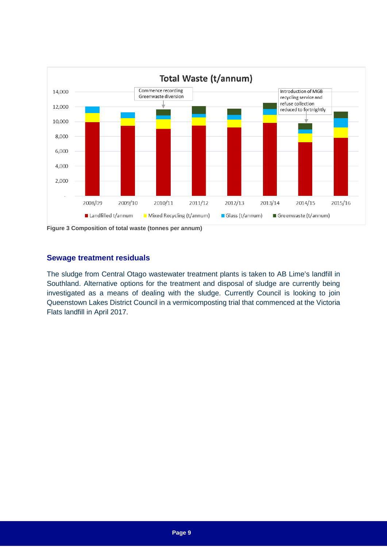

<span id="page-12-0"></span>**Figure 3 Composition of total waste (tonnes per annum)**

#### **Sewage treatment residuals**

The sludge from Central Otago wastewater treatment plants is taken to AB Lime's landfill in Southland. Alternative options for the treatment and disposal of sludge are currently being investigated as a means of dealing with the sludge. Currently Council is looking to join Queenstown Lakes District Council in a vermicomposting trial that commenced at the Victoria Flats landfill in April 2017.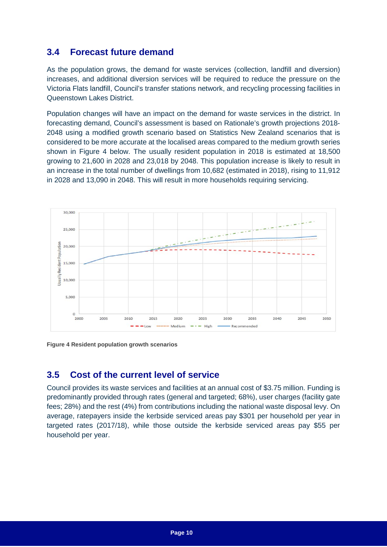### <span id="page-13-0"></span>**3.4 Forecast future demand**

As the population grows, the demand for waste services (collection, landfill and diversion) increases, and additional diversion services will be required to reduce the pressure on the Victoria Flats landfill, Council's transfer stations network, and recycling processing facilities in Queenstown Lakes District.

Population changes will have an impact on the demand for waste services in the district. In forecasting demand, Council's assessment is based on Rationale's growth projections 2018- 2048 using a modified growth scenario based on Statistics New Zealand scenarios that is considered to be more accurate at the localised areas compared to the medium growth series shown in Figure 4 below. The usually resident population in 2018 is estimated at 18,500 growing to 21,600 in 2028 and 23,018 by 2048. This population increase is likely to result in an increase in the total number of dwellings from 10,682 (estimated in 2018), rising to 11,912 in 2028 and 13,090 in 2048. This will result in more households requiring servicing.



<span id="page-13-2"></span>

### <span id="page-13-1"></span>**3.5 Cost of the current level of service**

Council provides its waste services and facilities at an annual cost of \$3.75 million. Funding is predominantly provided through rates (general and targeted; 68%), user charges (facility gate fees; 28%) and the rest (4%) from contributions including the national waste disposal levy. On average, ratepayers inside the kerbside serviced areas pay \$301 per household per year in targeted rates (2017/18), while those outside the kerbside serviced areas pay \$55 per household per year.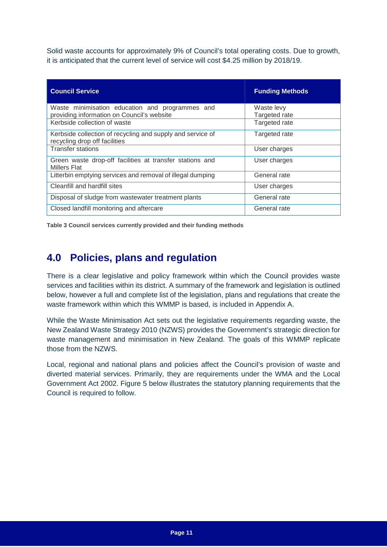Solid waste accounts for approximately 9% of Council's total operating costs. Due to growth, it is anticipated that the current level of service will cost \$4.25 million by 2018/19.

| <b>Council Service</b>                                                                        | <b>Funding Methods</b>      |
|-----------------------------------------------------------------------------------------------|-----------------------------|
| Waste minimisation education and programmes and<br>providing information on Council's website | Waste levy<br>Targeted rate |
| Kerbside collection of waste                                                                  | Targeted rate               |
| Kerbside collection of recycling and supply and service of<br>recycling drop off facilities   | Targeted rate               |
| <b>Transfer stations</b>                                                                      | User charges                |
| Green waste drop-off facilities at transfer stations and<br><b>Millers Flat</b>               | User charges                |
| Litterbin emptying services and removal of illegal dumping                                    | General rate                |
| Cleanfill and hardfill sites                                                                  | User charges                |
| Disposal of sludge from wastewater treatment plants                                           | General rate                |
| Closed landfill monitoring and aftercare                                                      | General rate                |

<span id="page-14-1"></span>**Table 3 Council services currently provided and their funding methods**

## <span id="page-14-0"></span>**4.0 Policies, plans and regulation**

There is a clear legislative and policy framework within which the Council provides waste services and facilities within its district. A summary of the framework and legislation is outlined below, however a full and complete list of the legislation, plans and regulations that create the waste framework within which this WMMP is based, is included in Appendix A.

While the Waste Minimisation Act sets out the legislative requirements regarding waste, the New Zealand Waste Strategy 2010 (NZWS) provides the Government's strategic direction for waste management and minimisation in New Zealand. The goals of this WMMP replicate those from the NZWS.

Local, regional and national plans and policies affect the Council's provision of waste and diverted material services. Primarily, they are requirements under the WMA and the Local Government Act 2002. Figure 5 below illustrates the statutory planning requirements that the Council is required to follow.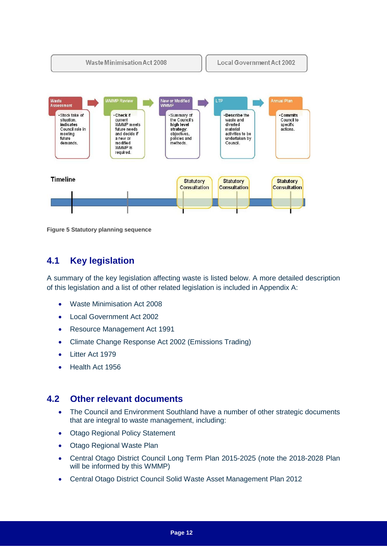

<span id="page-15-2"></span>**Figure 5 Statutory planning sequence**

## <span id="page-15-0"></span>**4.1 Key legislation**

A summary of the key legislation affecting waste is listed below. A more detailed description of this legislation and a list of other related legislation is included in Appendix A:

- Waste Minimisation Act 2008
- Local Government Act 2002
- Resource Management Act 1991
- Climate Change Response Act 2002 (Emissions Trading)
- Litter Act 1979
- Health Act 1956

#### <span id="page-15-1"></span>**4.2 Other relevant documents**

- The Council and Environment Southland have a number of other strategic documents that are integral to waste management, including:
- Otago Regional Policy Statement
- Otago Regional Waste Plan
- Central Otago District Council Long Term Plan 2015-2025 (note the 2018-2028 Plan will be informed by this WMMP)
- Central Otago District Council Solid Waste Asset Management Plan 2012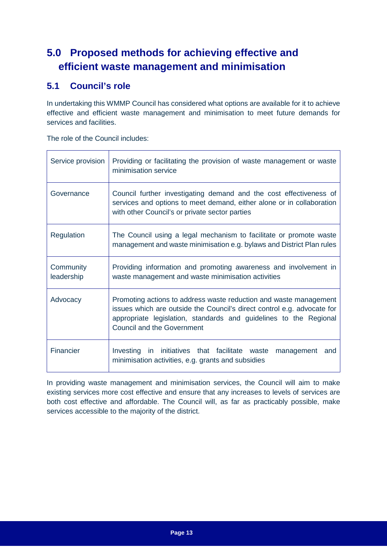## <span id="page-16-0"></span>**5.0 Proposed methods for achieving effective and efficient waste management and minimisation**

## <span id="page-16-1"></span>**5.1 Council's role**

In undertaking this WMMP Council has considered what options are available for it to achieve effective and efficient waste management and minimisation to meet future demands for services and facilities.

The role of the Council includes:

| Service provision       | Providing or facilitating the provision of waste management or waste<br>minimisation service                                                                                                                                                           |  |  |
|-------------------------|--------------------------------------------------------------------------------------------------------------------------------------------------------------------------------------------------------------------------------------------------------|--|--|
| Governance              | Council further investigating demand and the cost effectiveness of<br>services and options to meet demand, either alone or in collaboration<br>with other Council's or private sector parties                                                          |  |  |
| Regulation              | The Council using a legal mechanism to facilitate or promote waste<br>management and waste minimisation e.g. bylaws and District Plan rules                                                                                                            |  |  |
| Community<br>leadership | Providing information and promoting awareness and involvement in<br>waste management and waste minimisation activities                                                                                                                                 |  |  |
| Advocacy                | Promoting actions to address waste reduction and waste management<br>issues which are outside the Council's direct control e.g. advocate for<br>appropriate legislation, standards and guidelines to the Regional<br><b>Council and the Government</b> |  |  |
| Financier               | in initiatives that facilitate waste<br>Investing<br>and<br>management<br>minimisation activities, e.g. grants and subsidies                                                                                                                           |  |  |

In providing waste management and minimisation services, the Council will aim to make existing services more cost effective and ensure that any increases to levels of services are both cost effective and affordable. The Council will, as far as practicably possible, make services accessible to the majority of the district.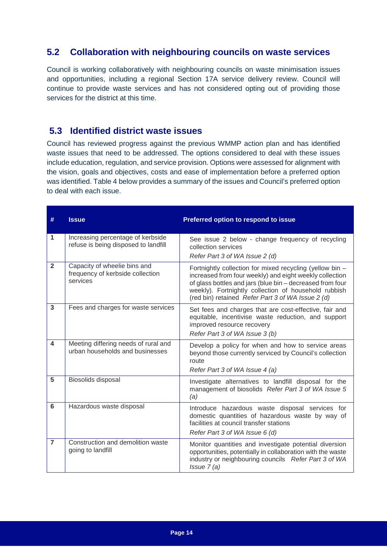### <span id="page-17-0"></span>**5.2 Collaboration with neighbouring councils on waste services**

Council is working collaboratively with neighbouring councils on waste minimisation issues and opportunities, including a regional Section 17A service delivery review. Council will continue to provide waste services and has not considered opting out of providing those services for the district at this time.

### <span id="page-17-1"></span>**5.3 Identified district waste issues**

Council has reviewed progress against the previous WMMP action plan and has identified waste issues that need to be addressed. The options considered to deal with these issues include education, regulation, and service provision. Options were assessed for alignment with the vision, goals and objectives, costs and ease of implementation before a preferred option was identified. Table 4 below provides a summary of the issues and Council's preferred option to deal with each issue.

| #                       | <b>Issue</b>                                                                 | Preferred option to respond to issue                                                                                                                                                                                                                                                          |
|-------------------------|------------------------------------------------------------------------------|-----------------------------------------------------------------------------------------------------------------------------------------------------------------------------------------------------------------------------------------------------------------------------------------------|
| 1                       | Increasing percentage of kerbside<br>refuse is being disposed to landfill    | See issue 2 below - change frequency of recycling<br>collection services<br>Refer Part 3 of WA Issue 2 (d)                                                                                                                                                                                    |
| $\overline{2}$          | Capacity of wheelie bins and<br>frequency of kerbside collection<br>services | Fortnightly collection for mixed recycling (yellow bin -<br>increased from four weekly) and eight weekly collection<br>of glass bottles and jars (blue bin - decreased from four<br>weekly). Fortnightly collection of household rubbish<br>(red bin) retained Refer Part 3 of WA Issue 2 (d) |
| 3                       | Fees and charges for waste services                                          | Set fees and charges that are cost-effective, fair and<br>equitable, incentivise waste reduction, and support<br>improved resource recovery<br>Refer Part 3 of WA Issue 3 (b)                                                                                                                 |
| $\overline{\mathbf{4}}$ | Meeting differing needs of rural and<br>urban households and businesses      | Develop a policy for when and how to service areas<br>beyond those currently serviced by Council's collection<br>route<br>Refer Part 3 of WA Issue 4 (a)                                                                                                                                      |
| 5                       | Biosolids disposal                                                           | Investigate alternatives to landfill disposal for the<br>management of biosolids Refer Part 3 of WA Issue 5<br>(a)                                                                                                                                                                            |
| 6                       | Hazardous waste disposal                                                     | Introduce hazardous waste disposal services for<br>domestic quantities of hazardous waste by way of<br>facilities at council transfer stations<br>Refer Part 3 of WA Issue 6 (d)                                                                                                              |
| $\overline{7}$          | Construction and demolition waste<br>going to landfill                       | Monitor quantities and investigate potential diversion<br>opportunities, potentially in collaboration with the waste<br>industry or neighbouring councils Refer Part 3 of WA<br>$Is5u2$ (a)                                                                                                   |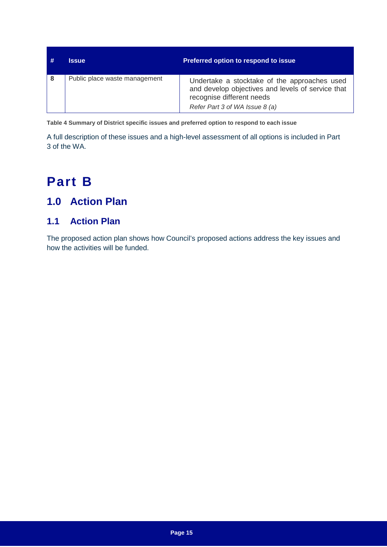| -# | Issue                         | <b>Preferred option to respond to issue</b>                                                                                                                      |
|----|-------------------------------|------------------------------------------------------------------------------------------------------------------------------------------------------------------|
| -8 | Public place waste management | Undertake a stocktake of the approaches used<br>and develop objectives and levels of service that<br>recognise different needs<br>Refer Part 3 of WA Issue 8 (a) |

<span id="page-18-3"></span>**Table 4 Summary of District specific issues and preferred option to respond to each issue**

A full description of these issues and a high-level assessment of all options is included in Part 3 of the WA.

# <span id="page-18-0"></span>**Part B**

## <span id="page-18-1"></span>**1.0 Action Plan**

## <span id="page-18-2"></span>**1.1 Action Plan**

The proposed action plan shows how Council's proposed actions address the key issues and how the activities will be funded.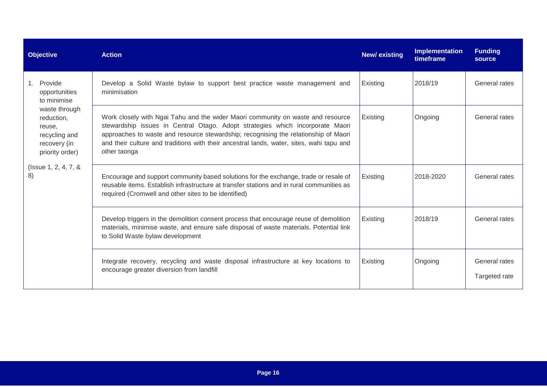| <b>Objective</b>                                                                          | <b>Action</b>                                                                                                                                                                                                                                                                                                                                                       | <b>New/existing</b> | <b>Implementation</b><br>timeframe | <b>Funding</b><br>source       |
|-------------------------------------------------------------------------------------------|---------------------------------------------------------------------------------------------------------------------------------------------------------------------------------------------------------------------------------------------------------------------------------------------------------------------------------------------------------------------|---------------------|------------------------------------|--------------------------------|
| 1. Provide<br>opportunities<br>to minimise                                                | Develop a Solid Waste bylaw to support best practice waste management and<br>minimisation                                                                                                                                                                                                                                                                           | Existing            | 2018/19                            | General rates                  |
| waste through<br>reduction,<br>reuse,<br>recycling and<br>recovery (in<br>priority order) | Work closely with Ngai Tahu and the wider Maori community on waste and resource<br>stewardship issues in Central Otago. Adopt strategies which incorporate Maori<br>approaches to waste and resource stewardship; recognising the relationship of Maori<br>and their culture and traditions with their ancestral lands, water, sites, wahi tapu and<br>other taonga | Existing            | Ongoing                            | General rates                  |
| (Issue 1, 2, 4, 7, &<br>8)                                                                | Encourage and support community based solutions for the exchange, trade or resale of<br>reusable items. Establish infrastructure at transfer stations and in rural communities as<br>required (Cromwell and other sites to be identified)                                                                                                                           | Existing            | 2018-2020                          | General rates                  |
|                                                                                           | Develop triggers in the demolition consent process that encourage reuse of demolition<br>materials, minimise waste, and ensure safe disposal of waste materials. Potential link<br>to Solid Waste bylaw development                                                                                                                                                 | Existing            | 2018/19                            | General rates                  |
|                                                                                           | Integrate recovery, recycling and waste disposal infrastructure at key locations to<br>encourage greater diversion from landfill                                                                                                                                                                                                                                    | Existing            | Ongoing                            | General rates<br>Targeted rate |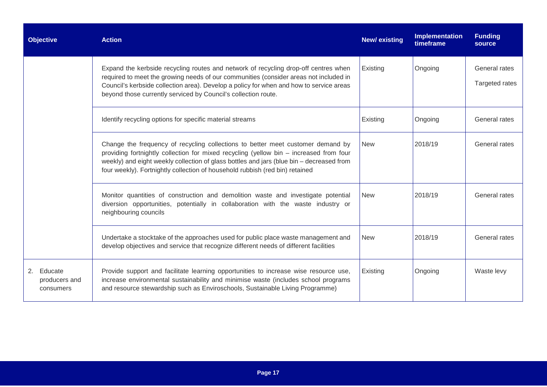| <b>Objective</b>                         | <b>Action</b>                                                                                                                                                                                                                                                                                                                                         | <b>New/existing</b> | Implementation<br>timeframe | <b>Funding</b><br>source        |
|------------------------------------------|-------------------------------------------------------------------------------------------------------------------------------------------------------------------------------------------------------------------------------------------------------------------------------------------------------------------------------------------------------|---------------------|-----------------------------|---------------------------------|
|                                          | Expand the kerbside recycling routes and network of recycling drop-off centres when<br>required to meet the growing needs of our communities (consider areas not included in<br>Council's kerbside collection area). Develop a policy for when and how to service areas<br>beyond those currently serviced by Council's collection route.             | Existing            | Ongoing                     | General rates<br>Targeted rates |
|                                          | Identify recycling options for specific material streams                                                                                                                                                                                                                                                                                              | Existing            | Ongoing                     | General rates                   |
|                                          | Change the frequency of recycling collections to better meet customer demand by<br>providing fortnightly collection for mixed recycling (yellow bin - increased from four<br>weekly) and eight weekly collection of glass bottles and jars (blue bin - decreased from<br>four weekly). Fortnightly collection of household rubbish (red bin) retained | <b>New</b>          | 2018/19                     | General rates                   |
|                                          | Monitor quantities of construction and demolition waste and investigate potential<br>diversion opportunities, potentially in collaboration with the waste industry or<br>neighbouring councils                                                                                                                                                        | <b>New</b>          | 2018/19                     | General rates                   |
|                                          | Undertake a stocktake of the approaches used for public place waste management and<br>develop objectives and service that recognize different needs of different facilities                                                                                                                                                                           | <b>New</b>          | 2018/19                     | General rates                   |
| 2. Educate<br>producers and<br>consumers | Provide support and facilitate learning opportunities to increase wise resource use,<br>increase environmental sustainability and minimise waste (includes school programs<br>and resource stewardship such as Enviroschools, Sustainable Living Programme)                                                                                           | Existing            | Ongoing                     | Waste levy                      |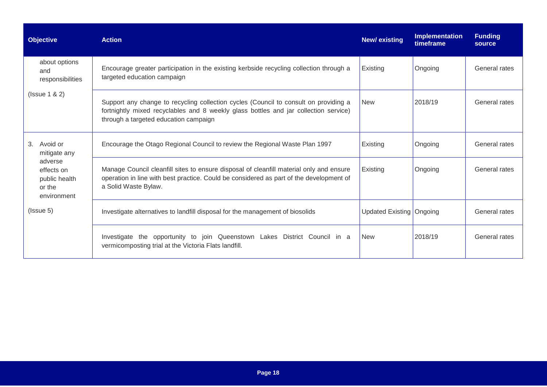| <b>Objective</b>                                                | <b>Action</b>                                                                                                                                                                                                         | <b>New/existing</b>        | Implementation<br>timeframe | <b>Funding</b><br>source |
|-----------------------------------------------------------------|-----------------------------------------------------------------------------------------------------------------------------------------------------------------------------------------------------------------------|----------------------------|-----------------------------|--------------------------|
| about options<br>and<br>responsibilities                        | Encourage greater participation in the existing kerbside recycling collection through a<br>targeted education campaign                                                                                                | Existing                   | Ongoing                     | General rates            |
| (Issue 1 & 2)                                                   | Support any change to recycling collection cycles (Council to consult on providing a<br>fortnightly mixed recyclables and 8 weekly glass bottles and jar collection service)<br>through a targeted education campaign | <b>New</b>                 | 2018/19                     | General rates            |
| 3.<br>Avoid or<br>mitigate any                                  | Encourage the Otago Regional Council to review the Regional Waste Plan 1997                                                                                                                                           | Existing                   | Ongoing                     | General rates            |
| adverse<br>effects on<br>public health<br>or the<br>environment | Manage Council cleanfill sites to ensure disposal of cleanfill material only and ensure<br>operation in line with best practice. Could be considered as part of the development of<br>a Solid Waste Bylaw.            | Existing                   | Ongoing                     | General rates            |
| $($ Issue 5 $)$                                                 | Investigate alternatives to landfill disposal for the management of biosolids                                                                                                                                         | Updated Existing   Ongoing |                             | General rates            |
|                                                                 | Investigate the opportunity to join Queenstown Lakes District Council in a<br>vermicomposting trial at the Victoria Flats landfill.                                                                                   | <b>New</b>                 | 2018/19                     | General rates            |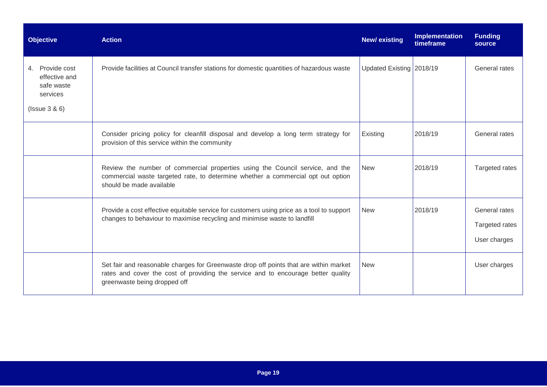| <b>Objective</b>                                                                 | <b>Action</b>                                                                                                                                                                                              | <b>New/existing</b>      | Implementation<br>timeframe | <b>Funding</b><br>source                        |
|----------------------------------------------------------------------------------|------------------------------------------------------------------------------------------------------------------------------------------------------------------------------------------------------------|--------------------------|-----------------------------|-------------------------------------------------|
| 4. Provide cost<br>effective and<br>safe waste<br>services<br>$($ Issue $3 & 6)$ | Provide facilities at Council transfer stations for domestic quantities of hazardous waste                                                                                                                 | Updated Existing 2018/19 |                             | General rates                                   |
|                                                                                  | Consider pricing policy for cleanfill disposal and develop a long term strategy for<br>provision of this service within the community                                                                      | Existing                 | 2018/19                     | General rates                                   |
|                                                                                  | Review the number of commercial properties using the Council service, and the<br>commercial waste targeted rate, to determine whether a commercial opt out option<br>should be made available              | New                      | 2018/19                     | Targeted rates                                  |
|                                                                                  | Provide a cost effective equitable service for customers using price as a tool to support<br>changes to behaviour to maximise recycling and minimise waste to landfill                                     | <b>New</b>               | 2018/19                     | General rates<br>Targeted rates<br>User charges |
|                                                                                  | Set fair and reasonable charges for Greenwaste drop off points that are within market<br>rates and cover the cost of providing the service and to encourage better quality<br>greenwaste being dropped off | <b>New</b>               |                             | User charges                                    |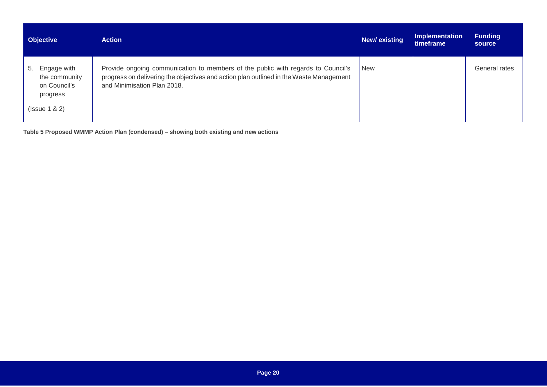| <b>Objective</b>                                                               | <b>Action</b>                                                                                                                                                                                             | New/existing | <b>Implementation</b><br>timeframe | <b>Funding</b><br>source |
|--------------------------------------------------------------------------------|-----------------------------------------------------------------------------------------------------------------------------------------------------------------------------------------------------------|--------------|------------------------------------|--------------------------|
| 5. Engage with<br>the community<br>on Council's<br>progress<br>$($ Ssue 1 & 2) | Provide ongoing communication to members of the public with regards to Council's<br>progress on delivering the objectives and action plan outlined in the Waste Management<br>and Minimisation Plan 2018. | <b>New</b>   |                                    | General rates            |

<span id="page-23-0"></span>**Table 5 Proposed WMMP Action Plan (condensed) – showing both existing and new actions**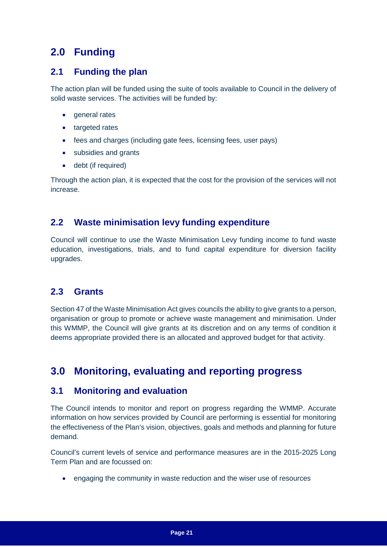## <span id="page-24-0"></span>**2.0 Funding**

### <span id="page-24-1"></span>**2.1 Funding the plan**

The action plan will be funded using the suite of tools available to Council in the delivery of solid waste services. The activities will be funded by:

- general rates
- targeted rates
- fees and charges (including gate fees, licensing fees, user pays)
- subsidies and grants
- debt (if required)

Through the action plan, it is expected that the cost for the provision of the services will not increase.

## <span id="page-24-2"></span>**2.2 Waste minimisation levy funding expenditure**

Council will continue to use the Waste Minimisation Levy funding income to fund waste education, investigations, trials, and to fund capital expenditure for diversion facility upgrades.

### <span id="page-24-3"></span>**2.3 Grants**

Section 47 of the Waste Minimisation Act gives councils the ability to give grants to a person, organisation or group to promote or achieve waste management and minimisation. Under this WMMP, the Council will give grants at its discretion and on any terms of condition it deems appropriate provided there is an allocated and approved budget for that activity.

## <span id="page-24-4"></span>**3.0 Monitoring, evaluating and reporting progress**

### <span id="page-24-5"></span>**3.1 Monitoring and evaluation**

The Council intends to monitor and report on progress regarding the WMMP. Accurate information on how services provided by Council are performing is essential for monitoring the effectiveness of the Plan's vision, objectives, goals and methods and planning for future demand.

Council's current levels of service and performance measures are in the 2015-2025 Long Term Plan and are focussed on:

• engaging the community in waste reduction and the wiser use of resources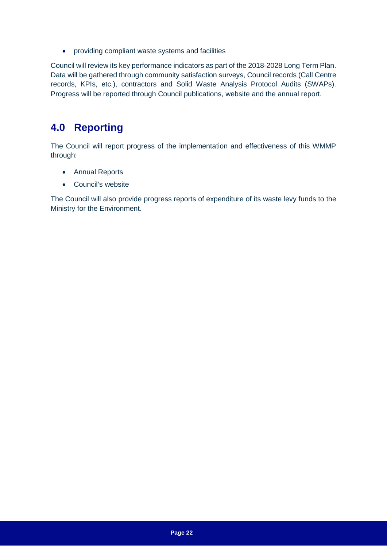• providing compliant waste systems and facilities

Council will review its key performance indicators as part of the 2018-2028 Long Term Plan. Data will be gathered through community satisfaction surveys, Council records (Call Centre records, KPIs, etc.), contractors and Solid Waste Analysis Protocol Audits (SWAPs). Progress will be reported through Council publications, website and the annual report.

## <span id="page-25-0"></span>**4.0 Reporting**

The Council will report progress of the implementation and effectiveness of this WMMP through:

- Annual Reports
- Council's website

The Council will also provide progress reports of expenditure of its waste levy funds to the Ministry for the Environment.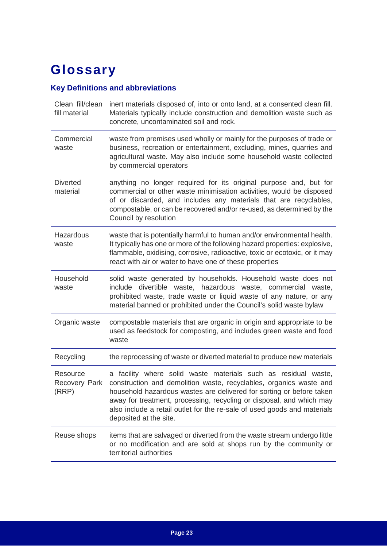# <span id="page-26-0"></span>**Glossary**

## **Key Definitions and abbreviations**

| Clean fill/clean<br>fill material  | inert materials disposed of, into or onto land, at a consented clean fill.<br>Materials typically include construction and demolition waste such as<br>concrete, uncontaminated soil and rock.                                                                                                                                                                                             |
|------------------------------------|--------------------------------------------------------------------------------------------------------------------------------------------------------------------------------------------------------------------------------------------------------------------------------------------------------------------------------------------------------------------------------------------|
| Commercial<br>waste                | waste from premises used wholly or mainly for the purposes of trade or<br>business, recreation or entertainment, excluding, mines, quarries and<br>agricultural waste. May also include some household waste collected<br>by commercial operators                                                                                                                                          |
| <b>Diverted</b><br>material        | anything no longer required for its original purpose and, but for<br>commercial or other waste minimisation activities, would be disposed<br>of or discarded, and includes any materials that are recyclables,<br>compostable, or can be recovered and/or re-used, as determined by the<br>Council by resolution                                                                           |
| <b>Hazardous</b><br>waste          | waste that is potentially harmful to human and/or environmental health.<br>It typically has one or more of the following hazard properties: explosive,<br>flammable, oxidising, corrosive, radioactive, toxic or ecotoxic, or it may<br>react with air or water to have one of these properties                                                                                            |
| Household<br>waste                 | solid waste generated by households. Household waste does not<br>include divertible waste, hazardous waste, commercial waste,<br>prohibited waste, trade waste or liquid waste of any nature, or any<br>material banned or prohibited under the Council's solid waste bylaw                                                                                                                |
| Organic waste                      | compostable materials that are organic in origin and appropriate to be<br>used as feedstock for composting, and includes green waste and food<br>waste                                                                                                                                                                                                                                     |
| Recycling                          | the reprocessing of waste or diverted material to produce new materials                                                                                                                                                                                                                                                                                                                    |
| Resource<br>Recovery Park<br>(RRP) | a facility where solid waste materials such as residual waste,<br>construction and demolition waste, recyclables, organics waste and<br>household hazardous wastes are delivered for sorting or before taken<br>away for treatment, processing, recycling or disposal, and which may<br>also include a retail outlet for the re-sale of used goods and materials<br>deposited at the site. |
| Reuse shops                        | items that are salvaged or diverted from the waste stream undergo little<br>or no modification and are sold at shops run by the community or<br>territorial authorities                                                                                                                                                                                                                    |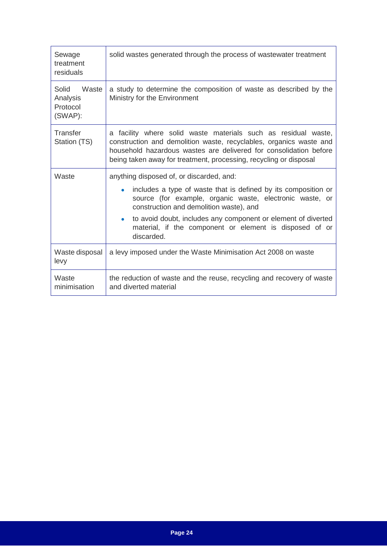| Sewage<br>treatment<br>residuals                  | solid wastes generated through the process of wastewater treatment                                                                                                                                                                                                                                                                                                                    |  |
|---------------------------------------------------|---------------------------------------------------------------------------------------------------------------------------------------------------------------------------------------------------------------------------------------------------------------------------------------------------------------------------------------------------------------------------------------|--|
| Solid<br>Waste<br>Analysis<br>Protocol<br>(SWAP): | a study to determine the composition of waste as described by the<br>Ministry for the Environment                                                                                                                                                                                                                                                                                     |  |
| Transfer<br>Station (TS)                          | a facility where solid waste materials such as residual waste,<br>construction and demolition waste, recyclables, organics waste and<br>household hazardous wastes are delivered for consolidation before<br>being taken away for treatment, processing, recycling or disposal                                                                                                        |  |
| Waste                                             | anything disposed of, or discarded, and:<br>includes a type of waste that is defined by its composition or<br>$\bullet$<br>source (for example, organic waste, electronic waste, or<br>construction and demolition waste), and<br>to avoid doubt, includes any component or element of diverted<br>$\bullet$<br>material, if the component or element is disposed of or<br>discarded. |  |
| Waste disposal<br>levy                            | a levy imposed under the Waste Minimisation Act 2008 on waste                                                                                                                                                                                                                                                                                                                         |  |
| Waste<br>minimisation                             | the reduction of waste and the reuse, recycling and recovery of waste<br>and diverted material                                                                                                                                                                                                                                                                                        |  |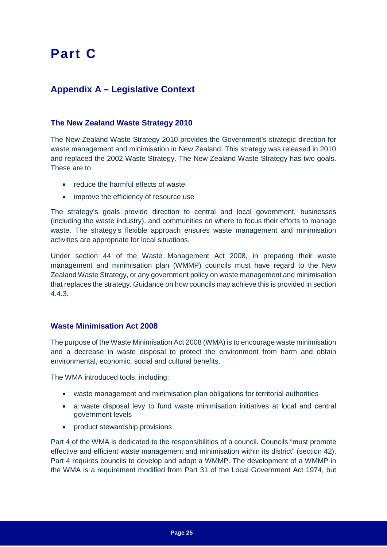# <span id="page-28-0"></span>**Part C**

## <span id="page-28-1"></span>**Appendix A – Legislative Context**

#### **The New Zealand Waste Strategy 2010**

The New Zealand Waste Strategy 2010 provides the Government's strategic direction for waste management and minimisation in New Zealand. This strategy was released in 2010 and replaced the 2002 Waste Strategy. The New Zealand Waste Strategy has two goals. These are to:

- reduce the harmful effects of waste
- improve the efficiency of resource use

The strategy's goals provide direction to central and local government, businesses (including the waste industry), and communities on where to focus their efforts to manage waste. The strategy's flexible approach ensures waste management and minimisation activities are appropriate for local situations.

Under section 44 of the Waste Management Act 2008, in preparing their waste management and minimisation plan (WMMP) councils must have regard to the New Zealand Waste Strategy, or any government policy on waste management and minimisation that replaces the strategy. Guidance on how councils may achieve this is provided in section 4.4.3.

#### **Waste Minimisation Act 2008**

The purpose of the Waste Minimisation Act 2008 (WMA) is to encourage waste minimisation and a decrease in waste disposal to protect the environment from harm and obtain environmental, economic, social and cultural benefits.

The WMA introduced tools, including:

- waste management and minimisation plan obligations for territorial authorities
- a waste disposal levy to fund waste minimisation initiatives at local and central government levels
- product stewardship provisions

Part 4 of the WMA is dedicated to the responsibilities of a council. Councils "must promote effective and efficient waste management and minimisation within its district" (section 42). Part 4 requires councils to develop and adopt a WMMP. The development of a WMMP in the WMA is a requirement modified from Part 31 of the Local Government Act 1974, but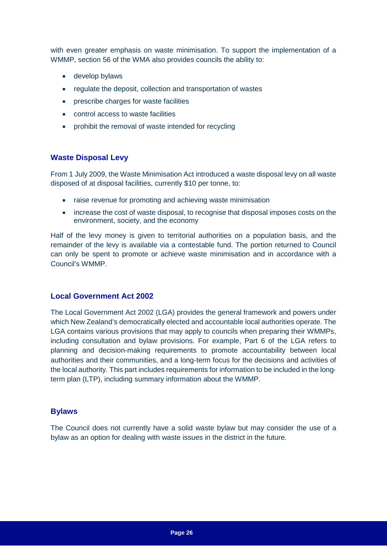with even greater emphasis on waste minimisation. To support the implementation of a WMMP, section 56 of the WMA also provides councils the ability to:

- develop bylaws
- regulate the deposit, collection and transportation of wastes
- prescribe charges for waste facilities
- control access to waste facilities
- prohibit the removal of waste intended for recycling

#### **Waste Disposal Levy**

From 1 July 2009, the Waste Minimisation Act introduced a waste disposal levy on all waste disposed of at disposal facilities, currently \$10 per tonne, to:

- raise revenue for promoting and achieving waste minimisation
- increase the cost of waste disposal, to recognise that disposal imposes costs on the environment, society, and the economy

Half of the levy money is given to territorial authorities on a population basis, and the remainder of the levy is available via a contestable fund. The portion returned to Council can only be spent to promote or achieve waste minimisation and in accordance with a Council's WMMP.

#### **Local Government Act 2002**

The Local Government Act 2002 (LGA) provides the general framework and powers under which New Zealand's democratically elected and accountable local authorities operate. The LGA contains various provisions that may apply to councils when preparing their WMMPs, including consultation and bylaw provisions. For example, Part 6 of the LGA refers to planning and decision‐making requirements to promote accountability between local authorities and their communities, and a long‐term focus for the decisions and activities of the local authority. This part includes requirements for information to be included in the long‐ term plan (LTP), including summary information about the WMMP.

#### **Bylaws**

The Council does not currently have a solid waste bylaw but may consider the use of a bylaw as an option for dealing with waste issues in the district in the future.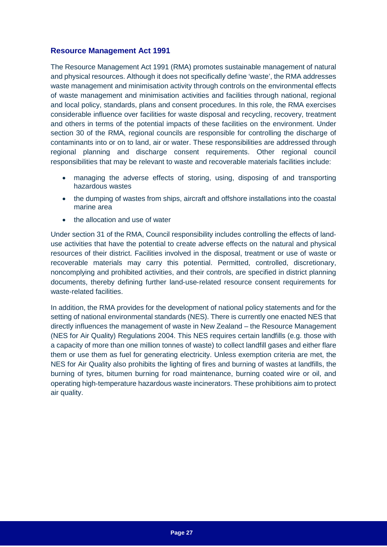#### **Resource Management Act 1991**

The Resource Management Act 1991 (RMA) promotes sustainable management of natural and physical resources. Although it does not specifically define 'waste', the RMA addresses waste management and minimisation activity through controls on the environmental effects of waste management and minimisation activities and facilities through national, regional and local policy, standards, plans and consent procedures. In this role, the RMA exercises considerable influence over facilities for waste disposal and recycling, recovery, treatment and others in terms of the potential impacts of these facilities on the environment. Under section 30 of the RMA, regional councils are responsible for controlling the discharge of contaminants into or on to land, air or water. These responsibilities are addressed through regional planning and discharge consent requirements. Other regional council responsibilities that may be relevant to waste and recoverable materials facilities include:

- managing the adverse effects of storing, using, disposing of and transporting hazardous wastes
- the dumping of wastes from ships, aircraft and offshore installations into the coastal marine area
- the allocation and use of water

Under section 31 of the RMA, Council responsibility includes controlling the effects of land‐ use activities that have the potential to create adverse effects on the natural and physical resources of their district. Facilities involved in the disposal, treatment or use of waste or recoverable materials may carry this potential. Permitted, controlled, discretionary, noncomplying and prohibited activities, and their controls, are specified in district planning documents, thereby defining further land‐use‐related resource consent requirements for waste-related facilities.

In addition, the RMA provides for the development of national policy statements and for the setting of national environmental standards (NES). There is currently one enacted NES that directly influences the management of waste in New Zealand – the Resource Management (NES for Air Quality) Regulations 2004. This NES requires certain landfills (e.g. those with a capacity of more than one million tonnes of waste) to collect landfill gases and either flare them or use them as fuel for generating electricity. Unless exemption criteria are met, the NES for Air Quality also prohibits the lighting of fires and burning of wastes at landfills, the burning of tyres, bitumen burning for road maintenance, burning coated wire or oil, and operating high‐temperature hazardous waste incinerators. These prohibitions aim to protect air quality.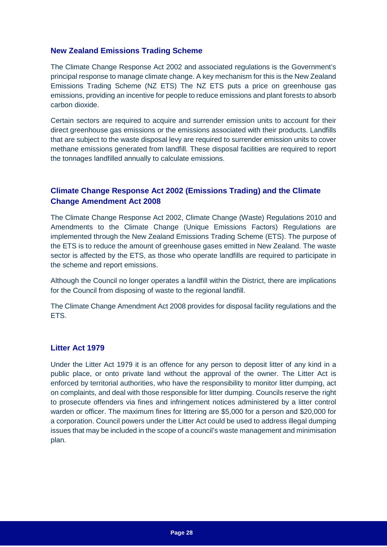#### **New Zealand Emissions Trading Scheme**

The Climate Change Response Act 2002 and associated regulations is the Government's principal response to manage climate change. A key mechanism for this is the New Zealand Emissions Trading Scheme (NZ ETS) The NZ ETS puts a price on greenhouse gas emissions, providing an incentive for people to reduce emissions and plant forests to absorb carbon dioxide.

Certain sectors are required to acquire and surrender emission units to account for their direct greenhouse gas emissions or the emissions associated with their products. Landfills that are subject to the waste disposal levy are required to surrender emission units to cover methane emissions generated from landfill. These disposal facilities are required to report the tonnages landfilled annually to calculate emissions.

### **Climate Change Response Act 2002 (Emissions Trading) and the Climate Change Amendment Act 2008**

The Climate Change Response Act 2002, Climate Change (Waste) Regulations 2010 and Amendments to the Climate Change (Unique Emissions Factors) Regulations are implemented through the New Zealand Emissions Trading Scheme (ETS). The purpose of the ETS is to reduce the amount of greenhouse gases emitted in New Zealand. The waste sector is affected by the ETS, as those who operate landfills are required to participate in the scheme and report emissions.

Although the Council no longer operates a landfill within the District, there are implications for the Council from disposing of waste to the regional landfill.

The Climate Change Amendment Act 2008 provides for disposal facility regulations and the ETS.

#### **Litter Act 1979**

Under the Litter Act 1979 it is an offence for any person to deposit litter of any kind in a public place, or onto private land without the approval of the owner. The Litter Act is enforced by territorial authorities, who have the responsibility to monitor litter dumping, act on complaints, and deal with those responsible for litter dumping. Councils reserve the right to prosecute offenders via fines and infringement notices administered by a litter control warden or officer. The maximum fines for littering are \$5,000 for a person and \$20,000 for a corporation. Council powers under the Litter Act could be used to address illegal dumping issues that may be included in the scope of a council's waste management and minimisation plan.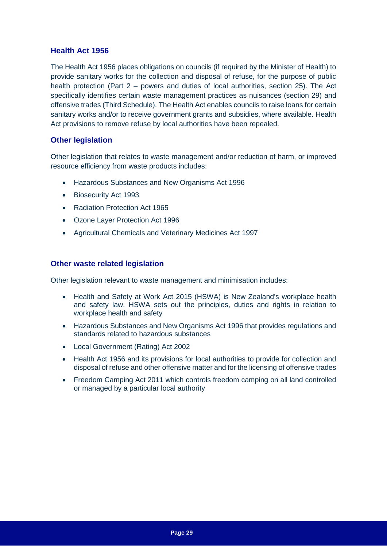#### **Health Act 1956**

The Health Act 1956 places obligations on councils (if required by the Minister of Health) to provide sanitary works for the collection and disposal of refuse, for the purpose of public health protection (Part 2 – powers and duties of local authorities, section 25). The Act specifically identifies certain waste management practices as nuisances (section 29) and offensive trades (Third Schedule). The Health Act enables councils to raise loans for certain sanitary works and/or to receive government grants and subsidies, where available. Health Act provisions to remove refuse by local authorities have been repealed.

#### **Other legislation**

Other legislation that relates to waste management and/or reduction of harm, or improved resource efficiency from waste products includes:

- Hazardous Substances and New Organisms Act 1996
- Biosecurity Act 1993
- Radiation Protection Act 1965
- Ozone Layer Protection Act 1996
- Agricultural Chemicals and Veterinary Medicines Act 1997

#### **Other waste related legislation**

Other legislation relevant to waste management and minimisation includes:

- Health and Safety at Work Act 2015 (HSWA) is New Zealand's workplace health and safety law. HSWA sets out the principles, duties and rights in relation to workplace health and safety
- Hazardous Substances and New Organisms Act 1996 that provides regulations and standards related to hazardous substances
- Local Government (Rating) Act 2002
- Health Act 1956 and its provisions for local authorities to provide for collection and disposal of refuse and other offensive matter and for the licensing of offensive trades
- Freedom Camping Act 2011 which controls freedom camping on all land controlled or managed by a particular local authority